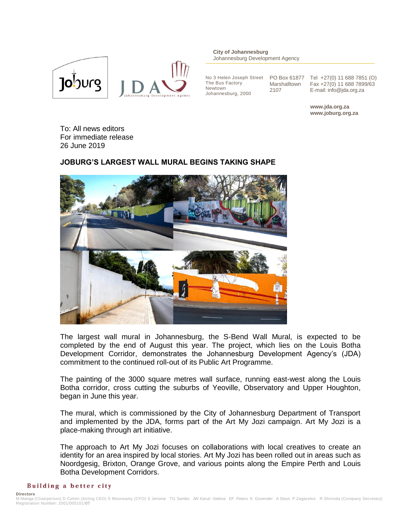

**City of Johannesburg** Johannesburg Development Agency

No 3 Helen Joseph Street The Bus Factory PO Box 61877 Newtown Johannesburg, 2000

Marshalltown 2107

Tel +27(0) 11 688 7851 (O) Fax +27(0) 11 688 7899/63 E-mail: info@jda.org.za

**www.jda.org.za www.joburg.org.za**

To: All news editors For immediate release 26 June 2019

## **JOBURG'S LARGEST WALL MURAL BEGINS TAKING SHAPE**



The largest wall mural in Johannesburg, the S-Bend Wall Mural, is expected to be completed by the end of August this year. The project, which lies on the Louis Botha Development Corridor, demonstrates the Johannesburg Development Agency's (JDA) commitment to the continued roll-out of its Public Art Programme.

The painting of the 3000 square metres wall surface, running east-west along the Louis Botha corridor, cross cutting the suburbs of Yeoville, Observatory and Upper Houghton, began in June this year.

The mural, which is commissioned by the City of Johannesburg Department of Transport and implemented by the JDA, forms part of the Art My Jozi campaign. Art My Jozi is a place-making through art initiative.

The approach to Art My Jozi focuses on collaborations with local creatives to create an identity for an area inspired by local stories. Art My Jozi has been rolled out in areas such as Noordgesig, Brixton, Orange Grove, and various points along the Empire Perth and Louis Botha Development Corridors.

## Building a better city